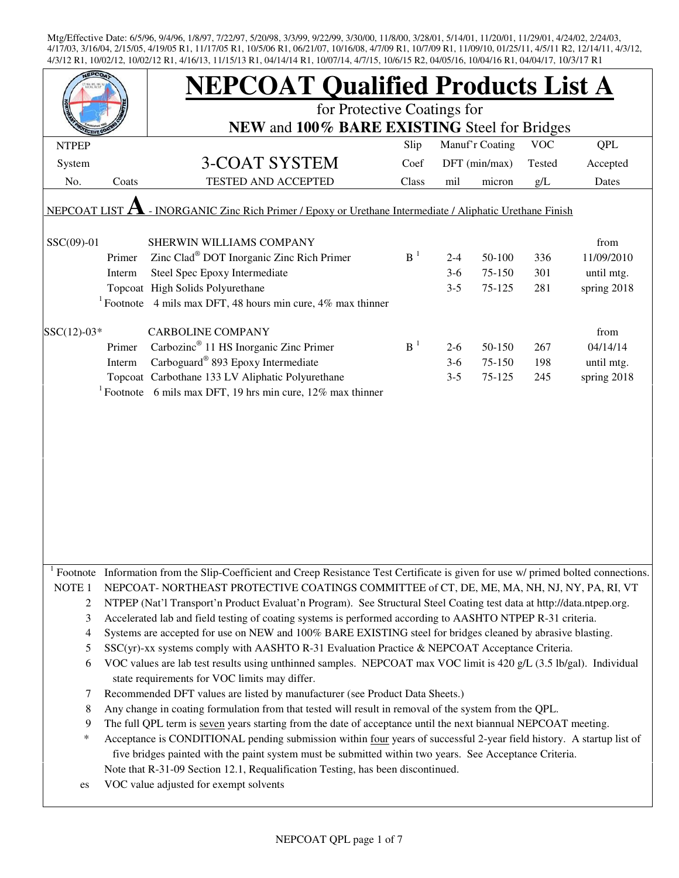| EPCO                                                                                                             |        | <b>NEPCOAT Qualified Products List A</b>                                                                                            |                |                 |               |            |             |  |
|------------------------------------------------------------------------------------------------------------------|--------|-------------------------------------------------------------------------------------------------------------------------------------|----------------|-----------------|---------------|------------|-------------|--|
|                                                                                                                  |        | for Protective Coatings for<br>NEW and 100% BARE EXISTING Steel for Bridges                                                         |                |                 |               |            |             |  |
|                                                                                                                  |        |                                                                                                                                     |                |                 |               |            |             |  |
| <b>NTPEP</b>                                                                                                     |        |                                                                                                                                     | Slip           | Manuf'r Coating |               | <b>VOC</b> | QPL         |  |
| System                                                                                                           |        | 3-COAT SYSTEM                                                                                                                       | Coef           |                 | DFT (min/max) | Tested     | Accepted    |  |
| No.                                                                                                              | Coats  | <b>TESTED AND ACCEPTED</b>                                                                                                          | Class          | mil             | micron        | g/L        | Dates       |  |
| - INORGANIC Zinc Rich Primer / Epoxy or Urethane Intermediate / Aliphatic Urethane Finish<br><b>NEPCOAT LIST</b> |        |                                                                                                                                     |                |                 |               |            |             |  |
| SSC(09)-01                                                                                                       |        | SHERWIN WILLIAMS COMPANY                                                                                                            |                |                 |               |            | from        |  |
|                                                                                                                  | Primer | Zinc Clad <sup>®</sup> DOT Inorganic Zinc Rich Primer                                                                               | B <sup>1</sup> | $2 - 4$         | 50-100        | 336        | 11/09/2010  |  |
|                                                                                                                  | Interm | Steel Spec Epoxy Intermediate                                                                                                       |                | $3-6$           | 75-150        | 301        | until mtg.  |  |
|                                                                                                                  |        | Topcoat High Solids Polyurethane                                                                                                    |                | $3 - 5$         | 75-125        | 281        | spring 2018 |  |
|                                                                                                                  |        | <sup>1</sup> Footnote 4 mils max DFT, 48 hours min cure, 4% max thinner                                                             |                |                 |               |            |             |  |
| $SSC(12)-03*$                                                                                                    |        | <b>CARBOLINE COMPANY</b>                                                                                                            |                |                 |               |            | from        |  |
|                                                                                                                  | Primer | Carbozinc <sup>®</sup> 11 HS Inorganic Zinc Primer                                                                                  | B <sup>1</sup> | $2 - 6$         | 50-150        | 267        | 04/14/14    |  |
|                                                                                                                  | Interm | Carboguard <sup>®</sup> 893 Epoxy Intermediate                                                                                      |                | $3-6$           | 75-150        | 198        | until mtg.  |  |
|                                                                                                                  |        | Topcoat Carbothane 133 LV Aliphatic Polyurethane                                                                                    |                | $3 - 5$         | 75-125        | 245        | spring 2018 |  |
|                                                                                                                  |        | <sup>1</sup> Footnote 6 mils max DFT, 19 hrs min cure, 12% max thinner                                                              |                |                 |               |            |             |  |
|                                                                                                                  |        |                                                                                                                                     |                |                 |               |            |             |  |
|                                                                                                                  |        |                                                                                                                                     |                |                 |               |            |             |  |
|                                                                                                                  |        |                                                                                                                                     |                |                 |               |            |             |  |
|                                                                                                                  |        |                                                                                                                                     |                |                 |               |            |             |  |
|                                                                                                                  |        |                                                                                                                                     |                |                 |               |            |             |  |
|                                                                                                                  |        |                                                                                                                                     |                |                 |               |            |             |  |
|                                                                                                                  |        |                                                                                                                                     |                |                 |               |            |             |  |
|                                                                                                                  |        |                                                                                                                                     |                |                 |               |            |             |  |
|                                                                                                                  |        |                                                                                                                                     |                |                 |               |            |             |  |
|                                                                                                                  |        |                                                                                                                                     |                |                 |               |            |             |  |
|                                                                                                                  |        | Footnote Information from the Slip-Coefficient and Creep Resistance Test Certificate is given for use w/ primed bolted connections. |                |                 |               |            |             |  |
| NOTE <sub>1</sub>                                                                                                |        | NEPCOAT-NORTHEAST PROTECTIVE COATINGS COMMITTEE of CT, DE, ME, MA, NH, NJ, NY, PA, RI, VT                                           |                |                 |               |            |             |  |
| 2                                                                                                                |        | NTPEP (Nat'l Transport'n Product Evaluat'n Program). See Structural Steel Coating test data at http://data.ntpep.org.               |                |                 |               |            |             |  |
| 3                                                                                                                |        | Accelerated lab and field testing of coating systems is performed according to AASHTO NTPEP R-31 criteria.                          |                |                 |               |            |             |  |
| 4                                                                                                                |        | Systems are accepted for use on NEW and 100% BARE EXISTING steel for bridges cleaned by abrasive blasting.                          |                |                 |               |            |             |  |
| 5                                                                                                                |        | SSC(yr)-xx systems comply with AASHTO R-31 Evaluation Practice & NEPCOAT Acceptance Criteria.                                       |                |                 |               |            |             |  |
| 6                                                                                                                |        | VOC values are lab test results using unthinned samples. NEPCOAT max VOC limit is 420 g/L (3.5 lb/gal). Individual                  |                |                 |               |            |             |  |
|                                                                                                                  |        | state requirements for VOC limits may differ.                                                                                       |                |                 |               |            |             |  |
| 7                                                                                                                |        | Recommended DFT values are listed by manufacturer (see Product Data Sheets.)                                                        |                |                 |               |            |             |  |
| 8                                                                                                                |        | Any change in coating formulation from that tested will result in removal of the system from the QPL.                               |                |                 |               |            |             |  |
| 9                                                                                                                |        | The full QPL term is seven years starting from the date of acceptance until the next biannual NEPCOAT meeting.                      |                |                 |               |            |             |  |
| *                                                                                                                |        | Acceptance is CONDITIONAL pending submission within four years of successful 2-year field history. A startup list of                |                |                 |               |            |             |  |
|                                                                                                                  |        | five bridges painted with the paint system must be submitted within two years. See Acceptance Criteria.                             |                |                 |               |            |             |  |
|                                                                                                                  |        | Note that R-31-09 Section 12.1, Requalification Testing, has been discontinued.                                                     |                |                 |               |            |             |  |
| es                                                                                                               |        | VOC value adjusted for exempt solvents                                                                                              |                |                 |               |            |             |  |
|                                                                                                                  |        |                                                                                                                                     |                |                 |               |            |             |  |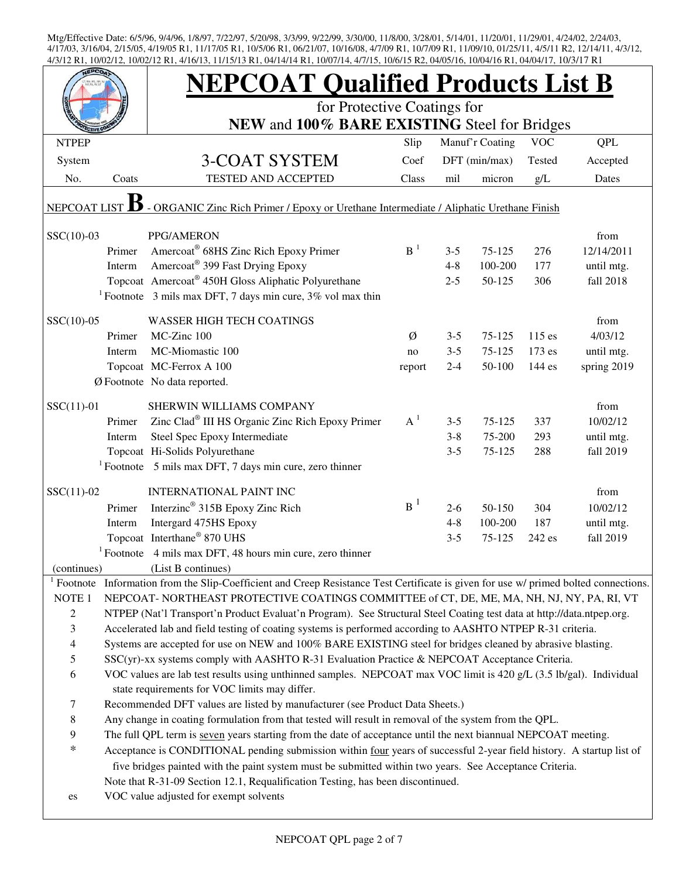|                                                                                                                |                                                                                                                                                                                                                     | <b>NEPCOAT Qualified Products List B</b>                                                                                   |                |         |                 |            |             |  |  |  |
|----------------------------------------------------------------------------------------------------------------|---------------------------------------------------------------------------------------------------------------------------------------------------------------------------------------------------------------------|----------------------------------------------------------------------------------------------------------------------------|----------------|---------|-----------------|------------|-------------|--|--|--|
|                                                                                                                |                                                                                                                                                                                                                     | for Protective Coatings for                                                                                                |                |         |                 |            |             |  |  |  |
|                                                                                                                |                                                                                                                                                                                                                     | NEW and 100% BARE EXISTING Steel for Bridges                                                                               |                |         |                 |            |             |  |  |  |
| <b>NTPEP</b>                                                                                                   |                                                                                                                                                                                                                     |                                                                                                                            | Slip           |         | Manuf'r Coating | <b>VOC</b> | QPL         |  |  |  |
| System                                                                                                         |                                                                                                                                                                                                                     | 3-COAT SYSTEM                                                                                                              | Coef           |         | DFT (min/max)   | Tested     | Accepted    |  |  |  |
| No.                                                                                                            | Coats                                                                                                                                                                                                               | TESTED AND ACCEPTED                                                                                                        | Class          | mil     | micron          | g/L        | Dates       |  |  |  |
| - ORGANIC Zinc Rich Primer / Epoxy or Urethane Intermediate / Aliphatic Urethane Finish<br><b>NEPCOAT LIST</b> |                                                                                                                                                                                                                     |                                                                                                                            |                |         |                 |            |             |  |  |  |
| $SSC(10)-03$                                                                                                   |                                                                                                                                                                                                                     | PPG/AMERON                                                                                                                 |                |         |                 |            | from        |  |  |  |
|                                                                                                                | Primer                                                                                                                                                                                                              | Amercoat® 68HS Zinc Rich Epoxy Primer                                                                                      | B <sup>1</sup> | $3 - 5$ | 75-125          | 276        | 12/14/2011  |  |  |  |
|                                                                                                                | Interm                                                                                                                                                                                                              | Amercoat <sup>®</sup> 399 Fast Drying Epoxy                                                                                |                | $4 - 8$ | 100-200         | 177        | until mtg.  |  |  |  |
|                                                                                                                |                                                                                                                                                                                                                     | Topcoat Amercoat <sup>®</sup> 450H Gloss Aliphatic Polyurethane                                                            |                | $2 - 5$ | 50-125          | 306        | fall 2018   |  |  |  |
|                                                                                                                |                                                                                                                                                                                                                     | <sup>1</sup> Footnote 3 mils max DFT, 7 days min cure, $3\%$ vol max thin                                                  |                |         |                 |            |             |  |  |  |
| $SSC(10)-05$                                                                                                   |                                                                                                                                                                                                                     | <b>WASSER HIGH TECH COATINGS</b>                                                                                           |                |         |                 |            | from        |  |  |  |
|                                                                                                                | Primer                                                                                                                                                                                                              | MC-Zinc 100                                                                                                                | Ø              | $3 - 5$ | 75-125          | 115 es     | 4/03/12     |  |  |  |
|                                                                                                                | Interm                                                                                                                                                                                                              | MC-Miomastic 100                                                                                                           | no             | $3 - 5$ | 75-125          | 173 es     | until mtg.  |  |  |  |
|                                                                                                                |                                                                                                                                                                                                                     | Topcoat MC-Ferrox A 100                                                                                                    | report         | $2 - 4$ | 50-100          | 144 es     | spring 2019 |  |  |  |
|                                                                                                                |                                                                                                                                                                                                                     | Ø Footnote No data reported.                                                                                               |                |         |                 |            |             |  |  |  |
| $SSC(11)-01$                                                                                                   |                                                                                                                                                                                                                     | SHERWIN WILLIAMS COMPANY                                                                                                   |                |         |                 |            | from        |  |  |  |
|                                                                                                                | Primer                                                                                                                                                                                                              | Zinc Clad® III HS Organic Zinc Rich Epoxy Primer                                                                           | $A^1$          | $3 - 5$ | 75-125          | 337        | 10/02/12    |  |  |  |
|                                                                                                                | Interm                                                                                                                                                                                                              | Steel Spec Epoxy Intermediate                                                                                              |                | $3 - 8$ | 75-200          | 293        | until mtg.  |  |  |  |
|                                                                                                                |                                                                                                                                                                                                                     | Topcoat Hi-Solids Polyurethane                                                                                             |                | $3 - 5$ | 75-125          | 288        | fall 2019   |  |  |  |
|                                                                                                                |                                                                                                                                                                                                                     | <sup>1</sup> Footnote 5 mils max DFT, 7 days min cure, zero thinner                                                        |                |         |                 |            |             |  |  |  |
| $SSC(11)-02$                                                                                                   |                                                                                                                                                                                                                     | <b>INTERNATIONAL PAINT INC</b>                                                                                             |                |         |                 |            | from        |  |  |  |
|                                                                                                                | Primer                                                                                                                                                                                                              | Interzinc <sup>®</sup> 315B Epoxy Zinc Rich                                                                                | $B^1$          | $2 - 6$ | 50-150          | 304        | 10/02/12    |  |  |  |
|                                                                                                                | Interm                                                                                                                                                                                                              | Intergard 475HS Epoxy                                                                                                      |                | $4 - 8$ | 100-200         | 187        | until mtg.  |  |  |  |
|                                                                                                                |                                                                                                                                                                                                                     | Topcoat Interthane® 870 UHS                                                                                                |                | $3 - 5$ | 75-125          | 242 es     | fall 2019   |  |  |  |
|                                                                                                                |                                                                                                                                                                                                                     | <sup>1</sup> Footnote 4 mils max DFT, 48 hours min cure, zero thinner                                                      |                |         |                 |            |             |  |  |  |
| (continues)                                                                                                    |                                                                                                                                                                                                                     | (List B continues)                                                                                                         |                |         |                 |            |             |  |  |  |
| $\frac{1}{1}$ Footnote                                                                                         |                                                                                                                                                                                                                     | Information from the Slip-Coefficient and Creep Resistance Test Certificate is given for use w/ primed bolted connections. |                |         |                 |            |             |  |  |  |
| NOTE <sub>1</sub>                                                                                              |                                                                                                                                                                                                                     | NEPCOAT-NORTHEAST PROTECTIVE COATINGS COMMITTEE of CT, DE, ME, MA, NH, NJ, NY, PA, RI, VT                                  |                |         |                 |            |             |  |  |  |
| $\overline{c}$                                                                                                 |                                                                                                                                                                                                                     | NTPEP (Nat'l Transport'n Product Evaluat'n Program). See Structural Steel Coating test data at http://data.ntpep.org.      |                |         |                 |            |             |  |  |  |
| 3                                                                                                              |                                                                                                                                                                                                                     | Accelerated lab and field testing of coating systems is performed according to AASHTO NTPEP R-31 criteria.                 |                |         |                 |            |             |  |  |  |
| $\overline{4}$                                                                                                 |                                                                                                                                                                                                                     | Systems are accepted for use on NEW and 100% BARE EXISTING steel for bridges cleaned by abrasive blasting.                 |                |         |                 |            |             |  |  |  |
| 5<br>6                                                                                                         | SSC(yr)-xx systems comply with AASHTO R-31 Evaluation Practice & NEPCOAT Acceptance Criteria.<br>VOC values are lab test results using unthinned samples. NEPCOAT max VOC limit is 420 g/L (3.5 lb/gal). Individual |                                                                                                                            |                |         |                 |            |             |  |  |  |
|                                                                                                                |                                                                                                                                                                                                                     | state requirements for VOC limits may differ.                                                                              |                |         |                 |            |             |  |  |  |
| 7                                                                                                              |                                                                                                                                                                                                                     | Recommended DFT values are listed by manufacturer (see Product Data Sheets.)                                               |                |         |                 |            |             |  |  |  |
| $\,8\,$                                                                                                        |                                                                                                                                                                                                                     | Any change in coating formulation from that tested will result in removal of the system from the QPL.                      |                |         |                 |            |             |  |  |  |
| 9                                                                                                              |                                                                                                                                                                                                                     | The full QPL term is seven years starting from the date of acceptance until the next biannual NEPCOAT meeting.             |                |         |                 |            |             |  |  |  |
| $\ast$                                                                                                         |                                                                                                                                                                                                                     | Acceptance is CONDITIONAL pending submission within four years of successful 2-year field history. A startup list of       |                |         |                 |            |             |  |  |  |
|                                                                                                                |                                                                                                                                                                                                                     | five bridges painted with the paint system must be submitted within two years. See Acceptance Criteria.                    |                |         |                 |            |             |  |  |  |
|                                                                                                                |                                                                                                                                                                                                                     | Note that R-31-09 Section 12.1, Requalification Testing, has been discontinued.                                            |                |         |                 |            |             |  |  |  |
| es                                                                                                             |                                                                                                                                                                                                                     | VOC value adjusted for exempt solvents                                                                                     |                |         |                 |            |             |  |  |  |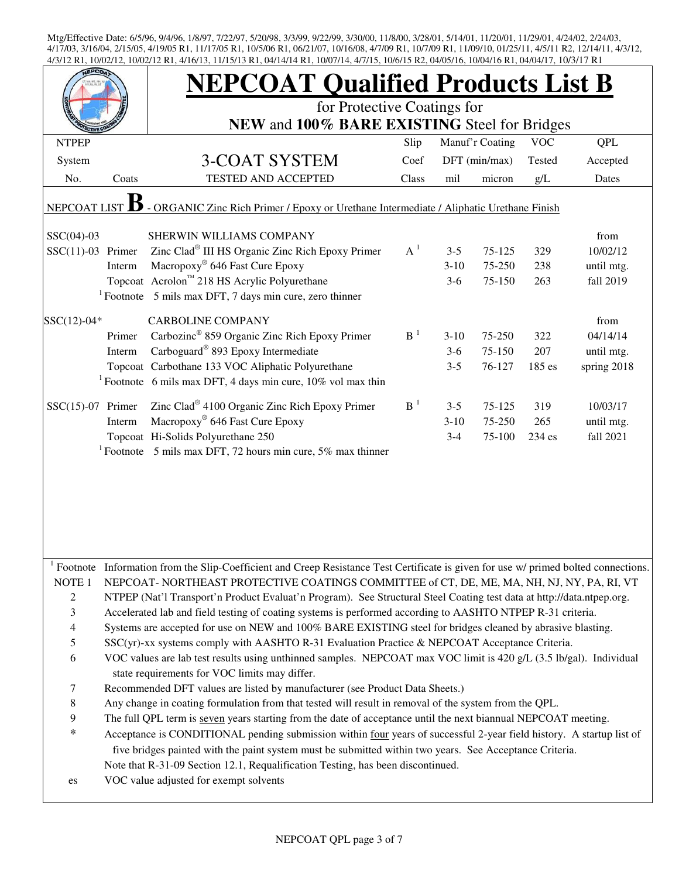|                                                                                                                |                                                                                                                    | <b>NEPCOAT Qualified Products List B</b>                                                                                      |                |          |                 |            |             |  |  |
|----------------------------------------------------------------------------------------------------------------|--------------------------------------------------------------------------------------------------------------------|-------------------------------------------------------------------------------------------------------------------------------|----------------|----------|-----------------|------------|-------------|--|--|
|                                                                                                                |                                                                                                                    | for Protective Coatings for                                                                                                   |                |          |                 |            |             |  |  |
|                                                                                                                |                                                                                                                    | NEW and 100% BARE EXISTING Steel for Bridges                                                                                  |                |          |                 |            |             |  |  |
| <b>NTPEP</b>                                                                                                   |                                                                                                                    |                                                                                                                               | Slip           |          | Manuf'r Coating | <b>VOC</b> | <b>QPL</b>  |  |  |
| System                                                                                                         |                                                                                                                    | 3-COAT SYSTEM                                                                                                                 | Coef           |          | DFT (min/max)   | Tested     | Accepted    |  |  |
| No.                                                                                                            | Coats                                                                                                              | TESTED AND ACCEPTED                                                                                                           | Class          | mil      | micron          | g/L        | Dates       |  |  |
| - ORGANIC Zinc Rich Primer / Epoxy or Urethane Intermediate / Aliphatic Urethane Finish<br><b>NEPCOAT LIST</b> |                                                                                                                    |                                                                                                                               |                |          |                 |            |             |  |  |
| $SSC(04)-03$                                                                                                   |                                                                                                                    | SHERWIN WILLIAMS COMPANY                                                                                                      |                |          |                 |            | from        |  |  |
| $SSC(11)-03$ Primer                                                                                            |                                                                                                                    | Zinc Clad® III HS Organic Zinc Rich Epoxy Primer                                                                              | $A^1$          | $3 - 5$  | 75-125          | 329        | 10/02/12    |  |  |
|                                                                                                                | Interm                                                                                                             | Macropoxy <sup>®</sup> 646 Fast Cure Epoxy                                                                                    |                | $3 - 10$ | 75-250          | 238        | until mtg.  |  |  |
|                                                                                                                |                                                                                                                    | Topcoat Acrolon™ 218 HS Acrylic Polyurethane                                                                                  |                | $3-6$    | 75-150          | 263        | fall 2019   |  |  |
|                                                                                                                |                                                                                                                    | $1$ Footnote 5 mils max DFT, 7 days min cure, zero thinner                                                                    |                |          |                 |            |             |  |  |
| $SSC(12)-04*$                                                                                                  |                                                                                                                    | <b>CARBOLINE COMPANY</b>                                                                                                      |                |          |                 |            | from        |  |  |
|                                                                                                                | Primer                                                                                                             | Carbozinc <sup>®</sup> 859 Organic Zinc Rich Epoxy Primer                                                                     | B <sup>1</sup> | $3-10$   | 75-250          | 322        | 04/14/14    |  |  |
|                                                                                                                | Interm                                                                                                             | Carboguard® 893 Epoxy Intermediate                                                                                            |                | $3-6$    | 75-150          | 207        | until mtg.  |  |  |
|                                                                                                                |                                                                                                                    | Topcoat Carbothane 133 VOC Aliphatic Polyurethane                                                                             |                | $3 - 5$  | 76-127          | 185 es     | spring 2018 |  |  |
|                                                                                                                |                                                                                                                    | <sup>1</sup> Footnote 6 mils max DFT, 4 days min cure, $10\%$ vol max thin                                                    |                |          |                 |            |             |  |  |
| $SSC(15)-07$ Primer                                                                                            |                                                                                                                    | Zinc Clad® 4100 Organic Zinc Rich Epoxy Primer                                                                                | $B-1$          | $3 - 5$  | 75-125          | 319        | 10/03/17    |  |  |
|                                                                                                                | Interm                                                                                                             | Macropoxy <sup>®</sup> 646 Fast Cure Epoxy                                                                                    |                | $3-10$   | 75-250          | 265        | until mtg.  |  |  |
|                                                                                                                |                                                                                                                    | Topcoat Hi-Solids Polyurethane 250                                                                                            |                | $3 - 4$  | 75-100          | 234 es     | fall 2021   |  |  |
|                                                                                                                |                                                                                                                    | <sup>1</sup> Footnote 5 mils max DFT, 72 hours min cure, 5% max thinner                                                       |                |          |                 |            |             |  |  |
|                                                                                                                |                                                                                                                    |                                                                                                                               |                |          |                 |            |             |  |  |
|                                                                                                                |                                                                                                                    |                                                                                                                               |                |          |                 |            |             |  |  |
|                                                                                                                |                                                                                                                    |                                                                                                                               |                |          |                 |            |             |  |  |
|                                                                                                                |                                                                                                                    |                                                                                                                               |                |          |                 |            |             |  |  |
|                                                                                                                |                                                                                                                    |                                                                                                                               |                |          |                 |            |             |  |  |
|                                                                                                                |                                                                                                                    |                                                                                                                               |                |          |                 |            |             |  |  |
| $1$ Footnote                                                                                                   |                                                                                                                    | Information from the Slip-Coefficient and Creep Resistance Test Certificate is given for use w/ primed bolted connections.    |                |          |                 |            |             |  |  |
| NOTE <sub>1</sub>                                                                                              |                                                                                                                    | NEPCOAT-NORTHEAST PROTECTIVE COATINGS COMMITTEE of CT, DE, ME, MA, NH, NJ, NY, PA, RI, VT                                     |                |          |                 |            |             |  |  |
| $\overline{2}$                                                                                                 |                                                                                                                    | NTPEP (Nat'l Transport'n Product Evaluat'n Program). See Structural Steel Coating test data at http://data.ntpep.org.         |                |          |                 |            |             |  |  |
| 3                                                                                                              |                                                                                                                    | Accelerated lab and field testing of coating systems is performed according to AASHTO NTPEP R-31 criteria.                    |                |          |                 |            |             |  |  |
| $\overline{\mathcal{L}}$                                                                                       |                                                                                                                    | Systems are accepted for use on NEW and 100% BARE EXISTING steel for bridges cleaned by abrasive blasting.                    |                |          |                 |            |             |  |  |
| 5                                                                                                              |                                                                                                                    | SSC(yr)-xx systems comply with AASHTO R-31 Evaluation Practice & NEPCOAT Acceptance Criteria.                                 |                |          |                 |            |             |  |  |
| 6                                                                                                              | VOC values are lab test results using unthinned samples. NEPCOAT max VOC limit is 420 g/L (3.5 lb/gal). Individual |                                                                                                                               |                |          |                 |            |             |  |  |
| 7                                                                                                              |                                                                                                                    | state requirements for VOC limits may differ.<br>Recommended DFT values are listed by manufacturer (see Product Data Sheets.) |                |          |                 |            |             |  |  |
| $\,$ 8 $\,$                                                                                                    |                                                                                                                    | Any change in coating formulation from that tested will result in removal of the system from the QPL.                         |                |          |                 |            |             |  |  |
| 9                                                                                                              |                                                                                                                    | The full QPL term is seven years starting from the date of acceptance until the next biannual NEPCOAT meeting.                |                |          |                 |            |             |  |  |
| $\ast$                                                                                                         |                                                                                                                    | Acceptance is CONDITIONAL pending submission within four years of successful 2-year field history. A startup list of          |                |          |                 |            |             |  |  |
|                                                                                                                |                                                                                                                    | five bridges painted with the paint system must be submitted within two years. See Acceptance Criteria.                       |                |          |                 |            |             |  |  |
|                                                                                                                |                                                                                                                    | Note that R-31-09 Section 12.1, Requalification Testing, has been discontinued.                                               |                |          |                 |            |             |  |  |
| es                                                                                                             |                                                                                                                    | VOC value adjusted for exempt solvents                                                                                        |                |          |                 |            |             |  |  |
|                                                                                                                |                                                                                                                    |                                                                                                                               |                |          |                 |            |             |  |  |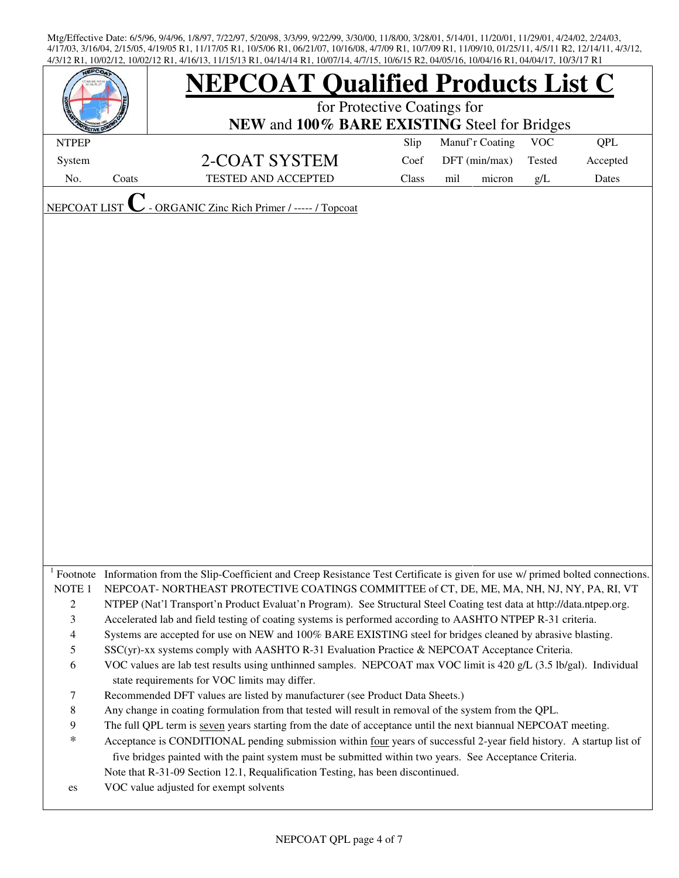| EPC <sub>O</sub>    |       | <b>NEPCOAT Qualified Products List C</b>                                                                                                                                                                                          |       |                 |        |            |          |  |  |
|---------------------|-------|-----------------------------------------------------------------------------------------------------------------------------------------------------------------------------------------------------------------------------------|-------|-----------------|--------|------------|----------|--|--|
|                     |       | for Protective Coatings for                                                                                                                                                                                                       |       |                 |        |            |          |  |  |
|                     |       | NEW and 100% BARE EXISTING Steel for Bridges                                                                                                                                                                                      |       |                 |        |            |          |  |  |
| <b>NTPEP</b>        |       |                                                                                                                                                                                                                                   | Slip  | Manuf'r Coating |        | <b>VOC</b> | QPL      |  |  |
| System              |       | 2-COAT SYSTEM                                                                                                                                                                                                                     | Coef  | DFT (min/max)   |        | Tested     | Accepted |  |  |
| No.                 | Coats | <b>TESTED AND ACCEPTED</b>                                                                                                                                                                                                        | Class | mil             | micron | g/L        | Dates    |  |  |
| <b>NEPCOAT LIST</b> |       | ORGANIC Zinc Rich Primer / ----- / Topcoat                                                                                                                                                                                        |       |                 |        |            |          |  |  |
|                     |       |                                                                                                                                                                                                                                   |       |                 |        |            |          |  |  |
|                     |       |                                                                                                                                                                                                                                   |       |                 |        |            |          |  |  |
|                     |       |                                                                                                                                                                                                                                   |       |                 |        |            |          |  |  |
|                     |       |                                                                                                                                                                                                                                   |       |                 |        |            |          |  |  |
|                     |       |                                                                                                                                                                                                                                   |       |                 |        |            |          |  |  |
|                     |       |                                                                                                                                                                                                                                   |       |                 |        |            |          |  |  |
|                     |       |                                                                                                                                                                                                                                   |       |                 |        |            |          |  |  |
|                     |       |                                                                                                                                                                                                                                   |       |                 |        |            |          |  |  |
|                     |       |                                                                                                                                                                                                                                   |       |                 |        |            |          |  |  |
|                     |       |                                                                                                                                                                                                                                   |       |                 |        |            |          |  |  |
|                     |       |                                                                                                                                                                                                                                   |       |                 |        |            |          |  |  |
|                     |       |                                                                                                                                                                                                                                   |       |                 |        |            |          |  |  |
|                     |       |                                                                                                                                                                                                                                   |       |                 |        |            |          |  |  |
|                     |       |                                                                                                                                                                                                                                   |       |                 |        |            |          |  |  |
|                     |       |                                                                                                                                                                                                                                   |       |                 |        |            |          |  |  |
|                     |       |                                                                                                                                                                                                                                   |       |                 |        |            |          |  |  |
|                     |       |                                                                                                                                                                                                                                   |       |                 |        |            |          |  |  |
|                     |       |                                                                                                                                                                                                                                   |       |                 |        |            |          |  |  |
|                     |       |                                                                                                                                                                                                                                   |       |                 |        |            |          |  |  |
|                     |       |                                                                                                                                                                                                                                   |       |                 |        |            |          |  |  |
|                     |       |                                                                                                                                                                                                                                   |       |                 |        |            |          |  |  |
|                     |       |                                                                                                                                                                                                                                   |       |                 |        |            |          |  |  |
| NOTE <sub>1</sub>   |       | Footnote Information from the Slip-Coefficient and Creep Resistance Test Certificate is given for use w/ primed bolted connections.<br>NEPCOAT- NORTHEAST PROTECTIVE COATINGS COMMITTEE of CT, DE, ME, MA, NH, NJ, NY, PA, RI, VT |       |                 |        |            |          |  |  |
| $\sqrt{2}$          |       | NTPEP (Nat'l Transport'n Product Evaluat'n Program). See Structural Steel Coating test data at http://data.ntpep.org.                                                                                                             |       |                 |        |            |          |  |  |
| $\mathfrak{Z}$      |       | Accelerated lab and field testing of coating systems is performed according to AASHTO NTPEP R-31 criteria.                                                                                                                        |       |                 |        |            |          |  |  |
| $\overline{4}$      |       | Systems are accepted for use on NEW and 100% BARE EXISTING steel for bridges cleaned by abrasive blasting.                                                                                                                        |       |                 |        |            |          |  |  |
| $\mathfrak s$       |       | SSC(yr)-xx systems comply with AASHTO R-31 Evaluation Practice & NEPCOAT Acceptance Criteria.                                                                                                                                     |       |                 |        |            |          |  |  |
| 6                   |       | VOC values are lab test results using unthinned samples. NEPCOAT max VOC limit is 420 g/L (3.5 lb/gal). Individual                                                                                                                |       |                 |        |            |          |  |  |
|                     |       | state requirements for VOC limits may differ.                                                                                                                                                                                     |       |                 |        |            |          |  |  |
| $\tau$              |       | Recommended DFT values are listed by manufacturer (see Product Data Sheets.)                                                                                                                                                      |       |                 |        |            |          |  |  |
| $\,8\,$             |       | Any change in coating formulation from that tested will result in removal of the system from the QPL.                                                                                                                             |       |                 |        |            |          |  |  |
| 9                   |       | The full QPL term is seven years starting from the date of acceptance until the next biannual NEPCOAT meeting.                                                                                                                    |       |                 |        |            |          |  |  |
| $\ast$              |       | Acceptance is CONDITIONAL pending submission within four years of successful 2-year field history. A startup list of                                                                                                              |       |                 |        |            |          |  |  |
|                     |       | five bridges painted with the paint system must be submitted within two years. See Acceptance Criteria.                                                                                                                           |       |                 |        |            |          |  |  |
|                     |       | Note that R-31-09 Section 12.1, Requalification Testing, has been discontinued.                                                                                                                                                   |       |                 |        |            |          |  |  |
| es                  |       | VOC value adjusted for exempt solvents                                                                                                                                                                                            |       |                 |        |            |          |  |  |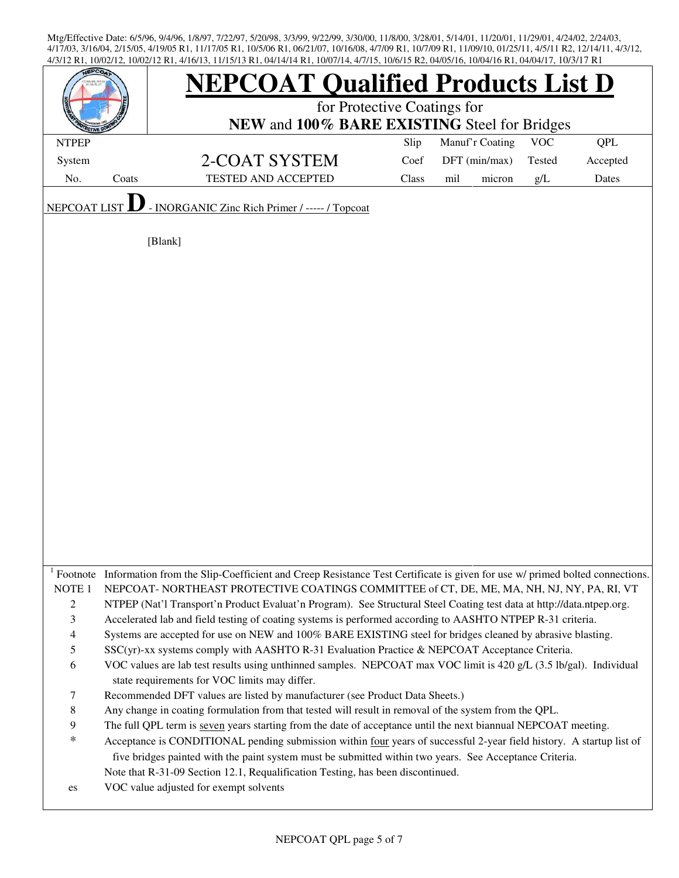| <b>EPCO</b>         |       | <b>NEPCOAT Qualified Products List D</b>                                                                                                                                              |       |                 |        |            |          |  |  |  |
|---------------------|-------|---------------------------------------------------------------------------------------------------------------------------------------------------------------------------------------|-------|-----------------|--------|------------|----------|--|--|--|
|                     |       | for Protective Coatings for                                                                                                                                                           |       |                 |        |            |          |  |  |  |
|                     |       | NEW and 100% BARE EXISTING Steel for Bridges                                                                                                                                          |       |                 |        |            |          |  |  |  |
| <b>NTPEP</b>        |       |                                                                                                                                                                                       | Slip  | Manuf'r Coating |        | <b>VOC</b> | QPL      |  |  |  |
| System              |       | 2-COAT SYSTEM                                                                                                                                                                         | Coef  | DFT (min/max)   |        | Tested     | Accepted |  |  |  |
| No.                 | Coats | <b>TESTED AND ACCEPTED</b>                                                                                                                                                            | Class | mil             | micron | $g/L$      | Dates    |  |  |  |
| <b>NEPCOAT LIST</b> |       | - INORGANIC Zinc Rich Primer / ----- / Topcoat                                                                                                                                        |       |                 |        |            |          |  |  |  |
|                     |       | [Blank]                                                                                                                                                                               |       |                 |        |            |          |  |  |  |
|                     |       |                                                                                                                                                                                       |       |                 |        |            |          |  |  |  |
|                     |       |                                                                                                                                                                                       |       |                 |        |            |          |  |  |  |
|                     |       |                                                                                                                                                                                       |       |                 |        |            |          |  |  |  |
|                     |       |                                                                                                                                                                                       |       |                 |        |            |          |  |  |  |
|                     |       |                                                                                                                                                                                       |       |                 |        |            |          |  |  |  |
|                     |       |                                                                                                                                                                                       |       |                 |        |            |          |  |  |  |
|                     |       |                                                                                                                                                                                       |       |                 |        |            |          |  |  |  |
|                     |       |                                                                                                                                                                                       |       |                 |        |            |          |  |  |  |
|                     |       |                                                                                                                                                                                       |       |                 |        |            |          |  |  |  |
|                     |       |                                                                                                                                                                                       |       |                 |        |            |          |  |  |  |
|                     |       |                                                                                                                                                                                       |       |                 |        |            |          |  |  |  |
|                     |       |                                                                                                                                                                                       |       |                 |        |            |          |  |  |  |
|                     |       |                                                                                                                                                                                       |       |                 |        |            |          |  |  |  |
|                     |       |                                                                                                                                                                                       |       |                 |        |            |          |  |  |  |
|                     |       |                                                                                                                                                                                       |       |                 |        |            |          |  |  |  |
|                     |       |                                                                                                                                                                                       |       |                 |        |            |          |  |  |  |
|                     |       |                                                                                                                                                                                       |       |                 |        |            |          |  |  |  |
|                     |       |                                                                                                                                                                                       |       |                 |        |            |          |  |  |  |
|                     |       | Footnote Information from the Slip-Coefficient and Creep Resistance Test Certificate is given for use w/ primed bolted connections.                                                   |       |                 |        |            |          |  |  |  |
| NOTE <sub>1</sub>   |       | NEPCOAT-NORTHEAST PROTECTIVE COATINGS COMMITTEE of CT, DE, ME, MA, NH, NJ, NY, PA, RI, VT                                                                                             |       |                 |        |            |          |  |  |  |
| 2                   |       | NTPEP (Nat'l Transport'n Product Evaluat'n Program). See Structural Steel Coating test data at http://data.ntpep.org.                                                                 |       |                 |        |            |          |  |  |  |
| $\mathfrak{Z}$      |       | Accelerated lab and field testing of coating systems is performed according to AASHTO NTPEP R-31 criteria.                                                                            |       |                 |        |            |          |  |  |  |
| 4                   |       | Systems are accepted for use on NEW and 100% BARE EXISTING steel for bridges cleaned by abrasive blasting.                                                                            |       |                 |        |            |          |  |  |  |
| 5                   |       | SSC(yr)-xx systems comply with AASHTO R-31 Evaluation Practice & NEPCOAT Acceptance Criteria.                                                                                         |       |                 |        |            |          |  |  |  |
| 6                   |       | VOC values are lab test results using unthinned samples. NEPCOAT max VOC limit is 420 g/L (3.5 lb/gal). Individual                                                                    |       |                 |        |            |          |  |  |  |
|                     |       | state requirements for VOC limits may differ.                                                                                                                                         |       |                 |        |            |          |  |  |  |
| 7<br>$\,$ 8 $\,$    |       | Recommended DFT values are listed by manufacturer (see Product Data Sheets.)<br>Any change in coating formulation from that tested will result in removal of the system from the QPL. |       |                 |        |            |          |  |  |  |
| 9                   |       | The full QPL term is seven years starting from the date of acceptance until the next biannual NEPCOAT meeting.                                                                        |       |                 |        |            |          |  |  |  |
| $\ast$              |       | Acceptance is CONDITIONAL pending submission within four years of successful 2-year field history. A startup list of                                                                  |       |                 |        |            |          |  |  |  |
|                     |       | five bridges painted with the paint system must be submitted within two years. See Acceptance Criteria.                                                                               |       |                 |        |            |          |  |  |  |
|                     |       | Note that R-31-09 Section 12.1, Requalification Testing, has been discontinued.                                                                                                       |       |                 |        |            |          |  |  |  |
| es                  |       | VOC value adjusted for exempt solvents                                                                                                                                                |       |                 |        |            |          |  |  |  |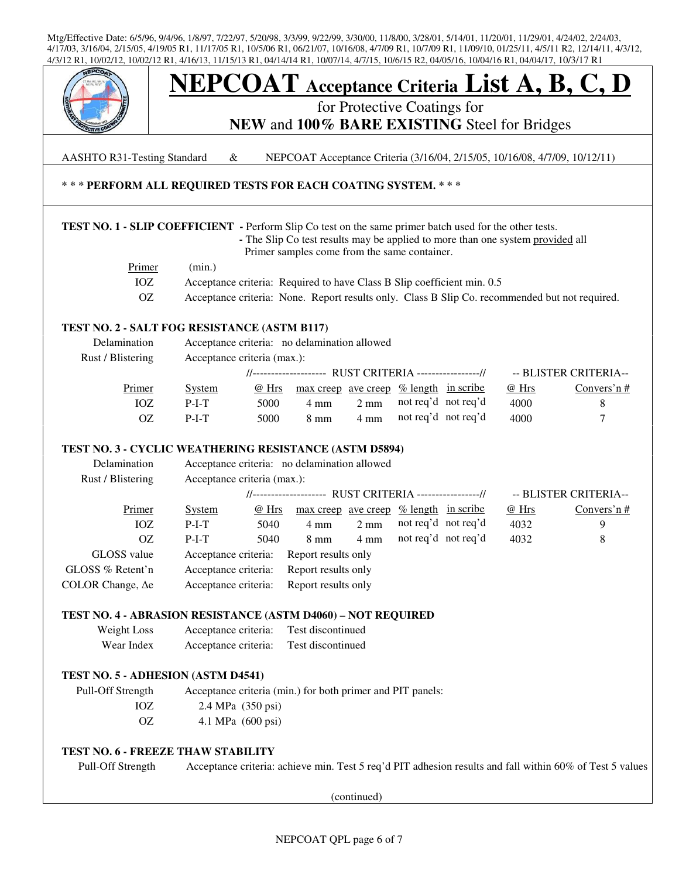